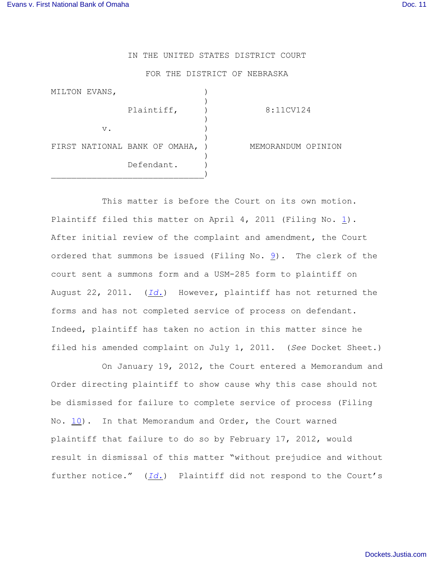## IN THE UNITED STATES DISTRICT COURT

## FOR THE DISTRICT OF NEBRASKA

| MILTON EVANS,                 |            |                    |
|-------------------------------|------------|--------------------|
|                               | Plaintiff, | 8:11CV124          |
| $V$ .                         |            |                    |
| FIRST NATIONAL BANK OF OMAHA, |            | MEMORANDUM OPINION |
|                               | Defendant. |                    |

This matter is before the Court on its own motion. Plaintiff filed this matter on April 4, 2011 (Filing No. [1](http://ecf.ned.uscourts.gov/doc1/11302242501)). After initial review of the complaint and amendment, the Court ordered that summons be issued (Filing No.  $9$ ). The clerk of the court sent a summons form and a USM-285 form to plaintiff on August 22, 2011. (*[Id.](https://ecf.ned.uscourts.gov/doc1/11312337456)*) However, plaintiff has not returned the forms and has not completed service of process on defendant. Indeed, plaintiff has taken no action in this matter since he filed his amended complaint on July 1, 2011. (*See* Docket Sheet.)

On January 19, 2012, the Court entered a Memorandum and Order directing plaintiff to show cause why this case should not be dismissed for failure to complete service of process (Filing No. [10](https://ecf.ned.uscourts.gov/doc1/11312442230)). In that Memorandum and Order, the Court warned plaintiff that failure to do so by February 17, 2012, would result in dismissal of this matter "without prejudice and without further notice." (*[Id.](https://ecf.ned.uscourts.gov/doc1/11312442230)*) Plaintiff did not respond to the Court's